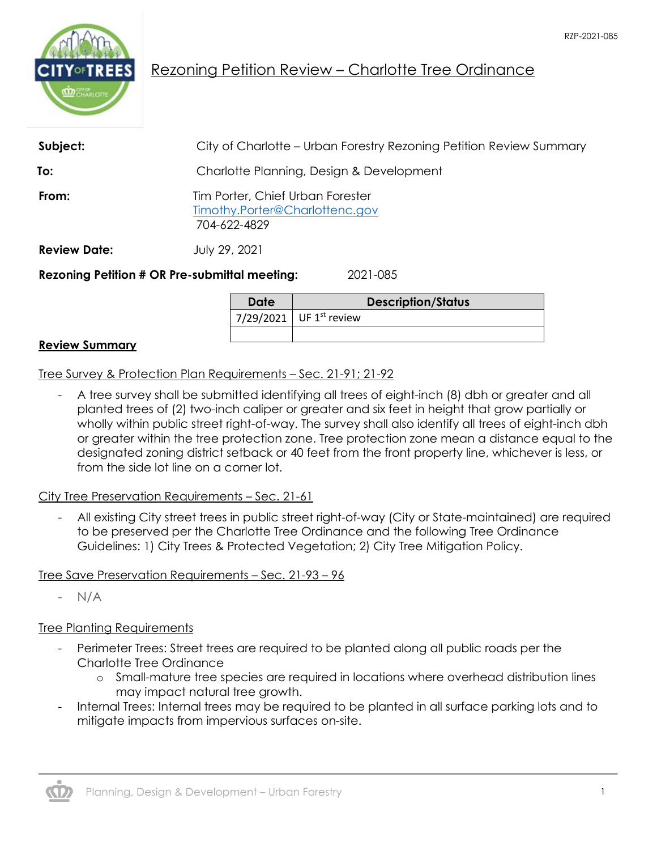

# Rezoning Petition Review – Charlotte Tree Ordinance

| Subject:            | City of Charlotte – Urban Forestry Rezoning Petition Review Summary                |  |
|---------------------|------------------------------------------------------------------------------------|--|
| To:                 | Charlotte Planning, Design & Development                                           |  |
| From:               | Tim Porter, Chief Urban Forester<br>Timothy.Porter@Charlottenc.gov<br>704-622-4829 |  |
| <b>Review Date:</b> | July 29, 2021                                                                      |  |
|                     | <b>Rezoning Petition # OR Pre-submittal meeting:</b><br>2021-085                   |  |

**Date Description/Status** 7/29/2021 UF  $1^{st}$  review

#### **Review Summary**

Tree Survey & Protection Plan Requirements – Sec. 21-91; 21-92

- A tree survey shall be submitted identifying all trees of eight-inch (8) dbh or greater and all planted trees of (2) two-inch caliper or greater and six feet in height that grow partially or wholly within public street right-of-way. The survey shall also identify all trees of eight-inch dbh or greater within the tree protection zone. Tree protection zone mean a distance equal to the designated zoning district setback or 40 feet from the front property line, whichever is less, or from the side lot line on a corner lot.

City Tree Preservation Requirements – Sec. 21-61

- All existing City street trees in public street right-of-way (City or State-maintained) are required to be preserved per the Charlotte Tree Ordinance and the following Tree Ordinance Guidelines: 1) City Trees & Protected Vegetation; 2) City Tree Mitigation Policy.

Tree Save Preservation Requirements – Sec. 21-93 – 96

- N/A

## Tree Planting Requirements

- Perimeter Trees: Street trees are required to be planted along all public roads per the Charlotte Tree Ordinance
	- o Small-mature tree species are required in locations where overhead distribution lines may impact natural tree growth.
- Internal Trees: Internal trees may be required to be planted in all surface parking lots and to mitigate impacts from impervious surfaces on-site.